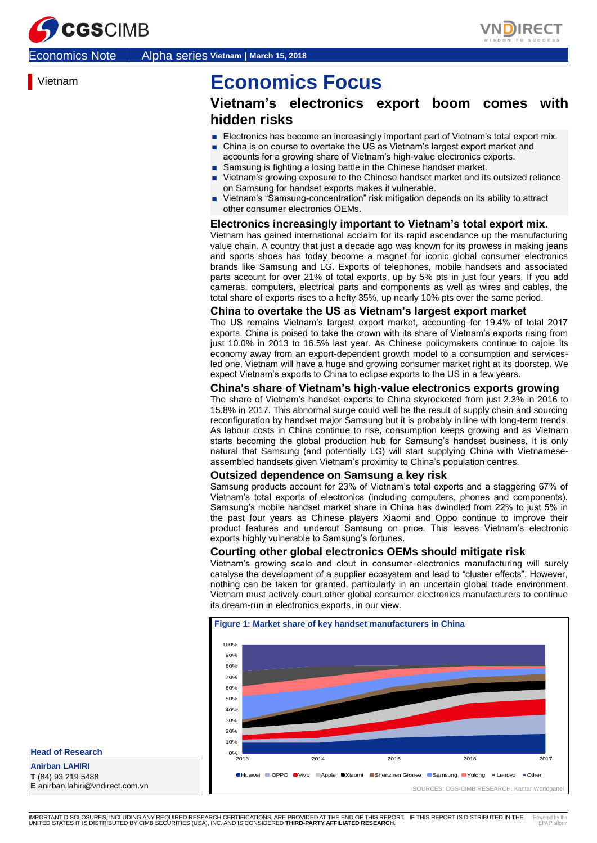



Economics Note │ Alpha series **Vietnam**│**March 15, 2018**

Vietnam

## **Economics Focus**

## **Vietnam's electronics export boom comes hidden risks**

- Electronics has become an increasingly important part of Vietnam's total export mix. ■ China is on course to overtake the US as Vietnam's largest export market and
- accounts for a growing share of Vietnam's high-value electronics exports.
- Samsung is fighting a losing battle in the Chinese handset market.
- Vietnam's growing exposure to the Chinese handset market and its outsized reliance on Samsung for handset exports makes it vulnerable.
- Vietnam's "Samsung-concentration" risk mitigation depends on its ability to attract other consumer electronics OEMs.

#### **Electronics increasingly important to Vietnam's total export mix.**

Vietnam has gained international acclaim for its rapid ascendance up the manufacturing value chain. A country that just a decade ago was known for its prowess in making jeans and sports shoes has today become a magnet for iconic global consumer electronics brands like Samsung and LG. Exports of telephones, mobile handsets and associated parts account for over 21% of total exports, up by 5% pts in just four years. If you add cameras, computers, electrical parts and components as well as wires and cables, the total share of exports rises to a hefty 35%, up nearly 10% pts over the same period.

#### **China to overtake the US as Vietnam's largest export market**

The US remains Vietnam's largest export market, accounting for 19.4% of total 2017 exports. China is poised to take the crown with its share of Vietnam's exports rising from just 10.0% in 2013 to 16.5% last year. As Chinese policymakers continue to cajole its economy away from an export-dependent growth model to a consumption and servicesled one, Vietnam will have a huge and growing consumer market right at its doorstep. We expect Vietnam's exports to China to eclipse exports to the US in a few years.

#### **China's share of Vietnam's high-value electronics exports growing**

The share of Vietnam's handset exports to China skyrocketed from just 2.3% in 2016 to 15.8% in 2017. This abnormal surge could well be the result of supply chain and sourcing reconfiguration by handset major Samsung but it is probably in line with long-term trends. As labour costs in China continue to rise, consumption keeps growing and as Vietnam starts becoming the global production hub for Samsung's handset business, it is only natural that Samsung (and potentially LG) will start supplying China with Vietnameseassembled handsets given Vietnam's proximity to China's population centres.

#### **Outsized dependence on Samsung a key risk**

Samsung products account for 23% of Vietnam's total exports and a staggering 67% of Vietnam's total exports of electronics (including computers, phones and components). Samsung's mobile handset market share in China has dwindled from 22% to just 5% in the past four years as Chinese players Xiaomi and Oppo continue to improve their product features and undercut Samsung on price. This leaves Vietnam's electronic exports highly vulnerable to Samsung's fortunes.

#### **Courting other global electronics OEMs should mitigate risk**

Vietnam's growing scale and clout in consumer electronics manufacturing will surely catalyse the development of a supplier ecosystem and lead to "cluster effects". However, nothing can be taken for granted, particularly in an uncertain global trade environment. Vietnam must actively court other global consumer electronics manufacturers to continue its dream-run in electronics exports, in our view.



**Head of Research**

**Anirban LAHIRI T** (84) 93 219 5488 **E** anirban.lahiri@vndirect.com.vn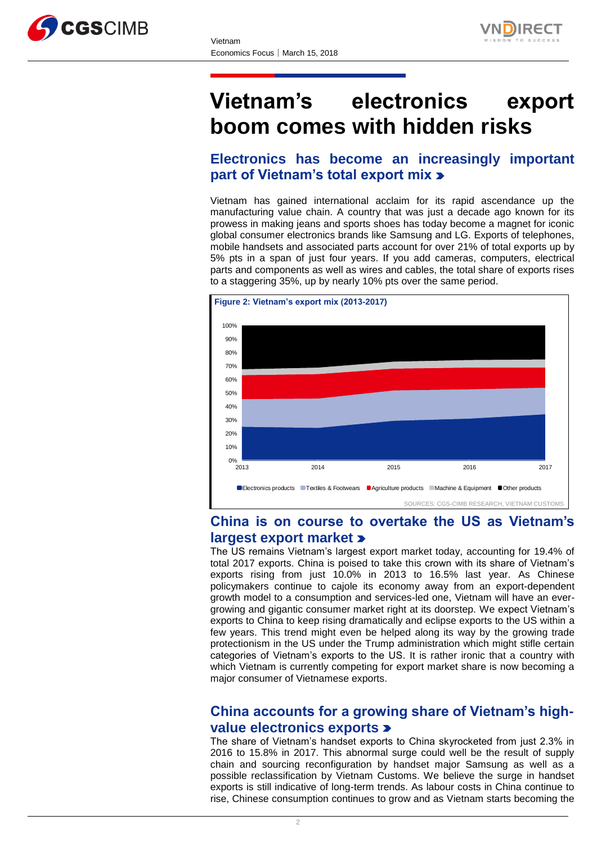



# **Vietnam's electronics export boom comes with hidden risks**

## **Electronics has become an increasingly important part of Vietnam's total export mix**

Vietnam has gained international acclaim for its rapid ascendance up the manufacturing value chain. A country that was just a decade ago known for its prowess in making jeans and sports shoes has today become a magnet for iconic global consumer electronics brands like Samsung and LG. Exports of telephones, mobile handsets and associated parts account for over 21% of total exports up by 5% pts in a span of just four years. If you add cameras, computers, electrical parts and components as well as wires and cables, the total share of exports rises to a staggering 35%, up by nearly 10% pts over the same period.



## **China is on course to overtake the US as Vietnam's largest export market**

The US remains Vietnam's largest export market today, accounting for 19.4% of total 2017 exports. China is poised to take this crown with its share of Vietnam's exports rising from just 10.0% in 2013 to 16.5% last year. As Chinese policymakers continue to cajole its economy away from an export-dependent growth model to a consumption and services-led one, Vietnam will have an evergrowing and gigantic consumer market right at its doorstep. We expect Vietnam's exports to China to keep rising dramatically and eclipse exports to the US within a few years. This trend might even be helped along its way by the growing trade protectionism in the US under the Trump administration which might stifle certain categories of Vietnam's exports to the US. It is rather ironic that a country with which Vietnam is currently competing for export market share is now becoming a major consumer of Vietnamese exports.

## **China accounts for a growing share of Vietnam's highvalue electronics exports**

The share of Vietnam's handset exports to China skyrocketed from just 2.3% in 2016 to 15.8% in 2017. This abnormal surge could well be the result of supply chain and sourcing reconfiguration by handset major Samsung as well as a possible reclassification by Vietnam Customs. We believe the surge in handset exports is still indicative of long-term trends. As labour costs in China continue to rise, Chinese consumption continues to grow and as Vietnam starts becoming the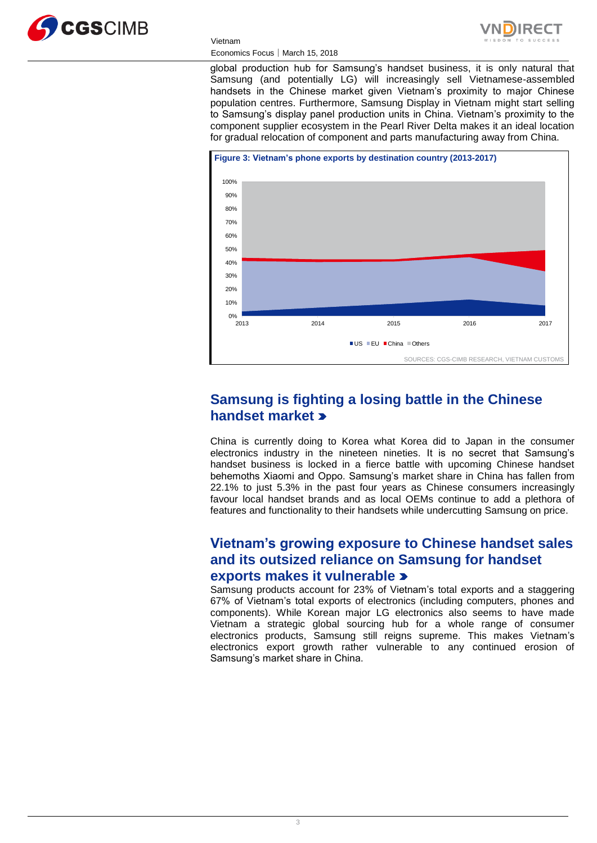



### Economics Focus│March 15, 2018

Vietnam

global production hub for Samsung's handset business, it is only natural that Samsung (and potentially LG) will increasingly sell Vietnamese-assembled handsets in the Chinese market given Vietnam's proximity to major Chinese population centres. Furthermore, Samsung Display in Vietnam might start selling to Samsung's display panel production units in China. Vietnam's proximity to the component supplier ecosystem in the Pearl River Delta makes it an ideal location for gradual relocation of component and parts manufacturing away from China.



## **Samsung is fighting a losing battle in the Chinese handset market**

China is currently doing to Korea what Korea did to Japan in the consumer electronics industry in the nineteen nineties. It is no secret that Samsung's handset business is locked in a fierce battle with upcoming Chinese handset behemoths Xiaomi and Oppo. Samsung's market share in China has fallen from 22.1% to just 5.3% in the past four years as Chinese consumers increasingly favour local handset brands and as local OEMs continue to add a plethora of features and functionality to their handsets while undercutting Samsung on price.

## **Vietnam's growing exposure to Chinese handset sales and its outsized reliance on Samsung for handset exports makes it vulnerable**

Samsung products account for 23% of Vietnam's total exports and a staggering 67% of Vietnam's total exports of electronics (including computers, phones and components). While Korean major LG electronics also seems to have made Vietnam a strategic global sourcing hub for a whole range of consumer electronics products, Samsung still reigns supreme. This makes Vietnam's electronics export growth rather vulnerable to any continued erosion of Samsung's market share in China.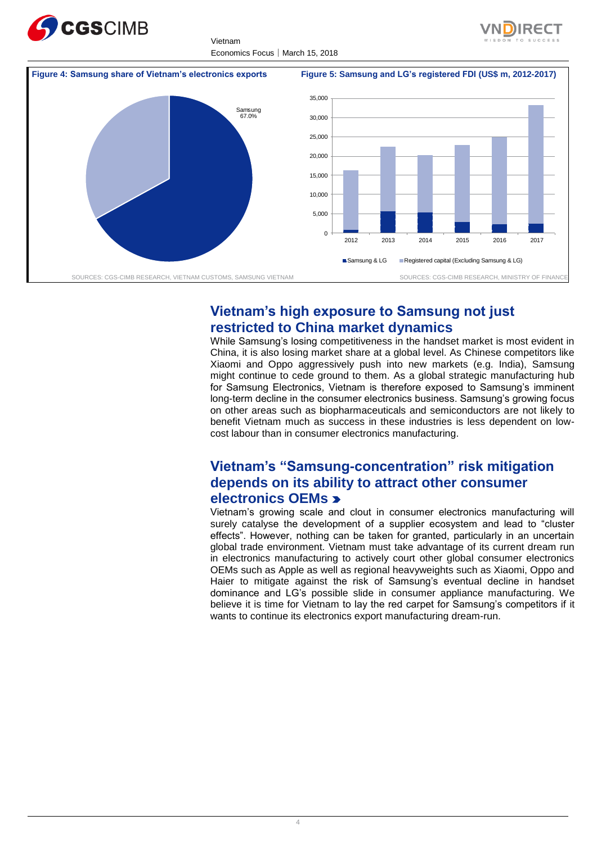

Vietnam Economics Focus│March 15, 2018





## **Vietnam's high exposure to Samsung not just restricted to China market dynamics**

While Samsung's losing competitiveness in the handset market is most evident in China, it is also losing market share at a global level. As Chinese competitors like Xiaomi and Oppo aggressively push into new markets (e.g. India), Samsung might continue to cede ground to them. As a global strategic manufacturing hub for Samsung Electronics, Vietnam is therefore exposed to Samsung's imminent long-term decline in the consumer electronics business. Samsung's growing focus on other areas such as biopharmaceuticals and semiconductors are not likely to benefit Vietnam much as success in these industries is less dependent on lowcost labour than in consumer electronics manufacturing.

## **Vietnam's "Samsung-concentration" risk mitigation depends on its ability to attract other consumer electronics OEMs**

Vietnam's growing scale and clout in consumer electronics manufacturing will surely catalyse the development of a supplier ecosystem and lead to "cluster effects". However, nothing can be taken for granted, particularly in an uncertain global trade environment. Vietnam must take advantage of its current dream run in electronics manufacturing to actively court other global consumer electronics OEMs such as Apple as well as regional heavyweights such as Xiaomi, Oppo and Haier to mitigate against the risk of Samsung's eventual decline in handset dominance and LG's possible slide in consumer appliance manufacturing. We believe it is time for Vietnam to lay the red carpet for Samsung's competitors if it wants to continue its electronics export manufacturing dream-run.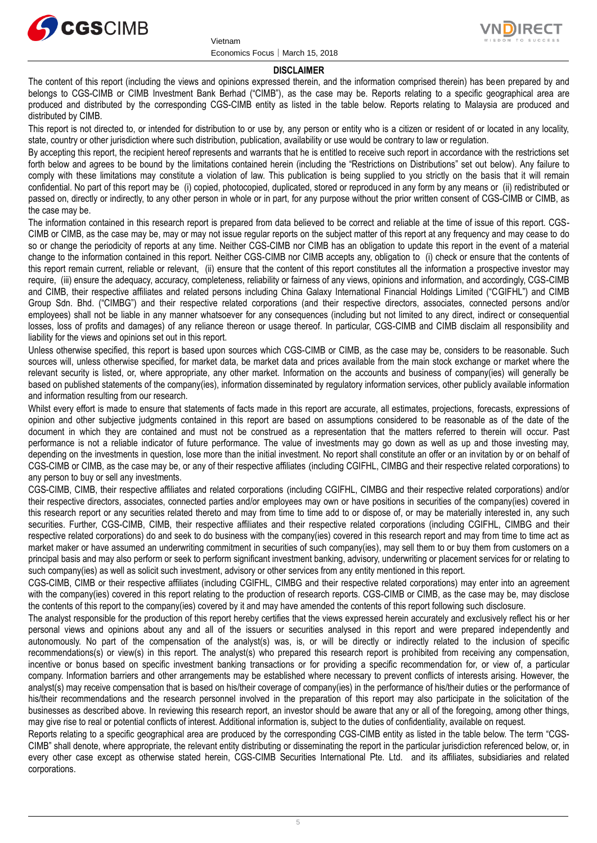



#### **DISCLAIMER**

The content of this report (including the views and opinions expressed therein, and the information comprised therein) has been prepared by and belongs to CGS-CIMB or CIMB Investment Bank Berhad ("CIMB"), as the case may be. Reports relating to a specific geographical area are produced and distributed by the corresponding CGS-CIMB entity as listed in the table below. Reports relating to Malaysia are produced and distributed by CIMB.

This report is not directed to, or intended for distribution to or use by, any person or entity who is a citizen or resident of or located in any locality, state, country or other jurisdiction where such distribution, publication, availability or use would be contrary to law or regulation.

By accepting this report, the recipient hereof represents and warrants that he is entitled to receive such report in accordance with the restrictions set forth below and agrees to be bound by the limitations contained herein (including the "Restrictions on Distributions" set out below). Any failure to comply with these limitations may constitute a violation of law. This publication is being supplied to you strictly on the basis that it will remain confidential. No part of this report may be (i) copied, photocopied, duplicated, stored or reproduced in any form by any means or (ii) redistributed or passed on, directly or indirectly, to any other person in whole or in part, for any purpose without the prior written consent of CGS-CIMB or CIMB, as the case may be.

The information contained in this research report is prepared from data believed to be correct and reliable at the time of issue of this report. CGS-CIMB or CIMB, as the case may be, may or may not issue regular reports on the subject matter of this report at any frequency and may cease to do so or change the periodicity of reports at any time. Neither CGS-CIMB nor CIMB has an obligation to update this report in the event of a material change to the information contained in this report. Neither CGS-CIMB nor CIMB accepts any, obligation to (i) check or ensure that the contents of this report remain current, reliable or relevant, (ii) ensure that the content of this report constitutes all the information a prospective investor may require, (iii) ensure the adequacy, accuracy, completeness, reliability or fairness of any views, opinions and information, and accordingly, CGS-CIMB and CIMB, their respective affiliates and related persons including China Galaxy International Financial Holdings Limited ("CGIFHL") and CIMB Group Sdn. Bhd. ("CIMBG") and their respective related corporations (and their respective directors, associates, connected persons and/or employees) shall not be liable in any manner whatsoever for any consequences (including but not limited to any direct, indirect or consequential losses, loss of profits and damages) of any reliance thereon or usage thereof. In particular, CGS-CIMB and CIMB disclaim all responsibility and liability for the views and opinions set out in this report.

Unless otherwise specified, this report is based upon sources which CGS-CIMB or CIMB, as the case may be, considers to be reasonable. Such sources will, unless otherwise specified, for market data, be market data and prices available from the main stock exchange or market where the relevant security is listed, or, where appropriate, any other market. Information on the accounts and business of company(ies) will generally be based on published statements of the company(ies), information disseminated by regulatory information services, other publicly available information and information resulting from our research.

Whilst every effort is made to ensure that statements of facts made in this report are accurate, all estimates, projections, forecasts, expressions of opinion and other subjective judgments contained in this report are based on assumptions considered to be reasonable as of the date of the document in which they are contained and must not be construed as a representation that the matters referred to therein will occur. Past performance is not a reliable indicator of future performance. The value of investments may go down as well as up and those investing may, depending on the investments in question, lose more than the initial investment. No report shall constitute an offer or an invitation by or on behalf of CGS-CIMB or CIMB, as the case may be, or any of their respective affiliates (including CGIFHL, CIMBG and their respective related corporations) to any person to buy or sell any investments.

CGS-CIMB, CIMB, their respective affiliates and related corporations (including CGIFHL, CIMBG and their respective related corporations) and/or their respective directors, associates, connected parties and/or employees may own or have positions in securities of the company(ies) covered in this research report or any securities related thereto and may from time to time add to or dispose of, or may be materially interested in, any such securities. Further, CGS-CIMB, CIMB, their respective affiliates and their respective related corporations (including CGIFHL, CIMBG and their respective related corporations) do and seek to do business with the company(ies) covered in this research report and may from time to time act as market maker or have assumed an underwriting commitment in securities of such company(ies), may sell them to or buy them from customers on a principal basis and may also perform or seek to perform significant investment banking, advisory, underwriting or placement services for or relating to such company(ies) as well as solicit such investment, advisory or other services from any entity mentioned in this report.

CGS-CIMB, CIMB or their respective affiliates (including CGIFHL, CIMBG and their respective related corporations) may enter into an agreement with the company(ies) covered in this report relating to the production of research reports. CGS-CIMB or CIMB, as the case may be, may disclose the contents of this report to the company(ies) covered by it and may have amended the contents of this report following such disclosure.

The analyst responsible for the production of this report hereby certifies that the views expressed herein accurately and exclusively reflect his or her personal views and opinions about any and all of the issuers or securities analysed in this report and were prepared independently and autonomously. No part of the compensation of the analyst(s) was, is, or will be directly or indirectly related to the inclusion of specific recommendations(s) or view(s) in this report. The analyst(s) who prepared this research report is prohibited from receiving any compensation, incentive or bonus based on specific investment banking transactions or for providing a specific recommendation for, or view of, a particular company. Information barriers and other arrangements may be established where necessary to prevent conflicts of interests arising. However, the analyst(s) may receive compensation that is based on his/their coverage of company(ies) in the performance of his/their duties or the performance of his/their recommendations and the research personnel involved in the preparation of this report may also participate in the solicitation of the businesses as described above. In reviewing this research report, an investor should be aware that any or all of the foregoing, among other things, may give rise to real or potential conflicts of interest. Additional information is, subject to the duties of confidentiality, available on request.

Reports relating to a specific geographical area are produced by the corresponding CGS-CIMB entity as listed in the table below. The term "CGS-CIMB" shall denote, where appropriate, the relevant entity distributing or disseminating the report in the particular jurisdiction referenced below, or, in every other case except as otherwise stated herein, CGS-CIMB Securities International Pte. Ltd. and its affiliates, subsidiaries and related corporations.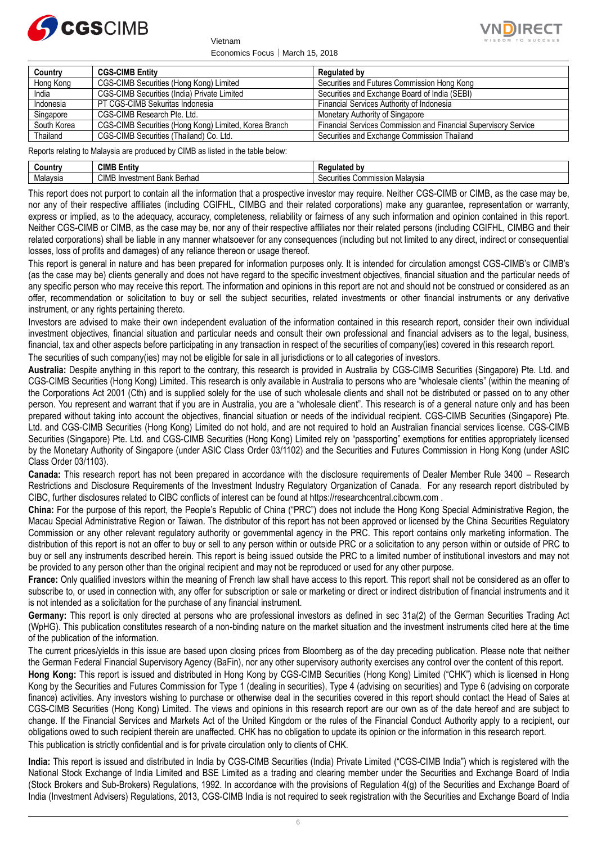

Economics Focus│March 15, 2018

Vietnam



| Country     | <b>CGS-CIMB Entity</b>                                | Regulated by                                                    |
|-------------|-------------------------------------------------------|-----------------------------------------------------------------|
| Hong Kong   | CGS-CIMB Securities (Hong Kong) Limited               | Securities and Futures Commission Hong Kong                     |
| India       | CGS-CIMB Securities (India) Private Limited           | Securities and Exchange Board of India (SEBI)                   |
| Indonesia   | PT CGS-CIMB Sekuritas Indonesia                       | Financial Services Authority of Indonesia                       |
| Singapore   | CGS-CIMB Research Pte. Ltd.                           | Monetary Authority of Singapore                                 |
| South Korea | CGS-CIMB Securities (Hong Kong) Limited, Korea Branch | Financial Services Commission and Financial Supervisory Service |
| Thailand    | CGS-CIMB Securities (Thailand) Co. Ltd.               | Securities and Exchange Commission Thailand                     |

Reports relating to Malaysia are produced by CIMB as listed in the table below:

| Country         | <b>CIMB</b><br>Entity                       | --                                            |
|-----------------|---------------------------------------------|-----------------------------------------------|
| . .<br>Malavsia | <b>CIME</b><br>Bank<br>Berhac<br>Investment | Malavsia<br>Comm<br>าแe<br>or<br>. <i>.</i> . |

This report does not purport to contain all the information that a prospective investor may require. Neither CGS-CIMB or CIMB, as the case may be, nor any of their respective affiliates (including CGIFHL, CIMBG and their related corporations) make any guarantee, representation or warranty, express or implied, as to the adequacy, accuracy, completeness, reliability or fairness of any such information and opinion contained in this report. Neither CGS-CIMB or CIMB, as the case may be, nor any of their respective affiliates nor their related persons (including CGIFHL, CIMBG and their related corporations) shall be liable in any manner whatsoever for any consequences (including but not limited to any direct, indirect or consequential losses, loss of profits and damages) of any reliance thereon or usage thereof.

This report is general in nature and has been prepared for information purposes only. It is intended for circulation amongst CGS-CIMB's or CIMB's (as the case may be) clients generally and does not have regard to the specific investment objectives, financial situation and the particular needs of any specific person who may receive this report. The information and opinions in this report are not and should not be construed or considered as an offer, recommendation or solicitation to buy or sell the subject securities, related investments or other financial instruments or any derivative instrument, or any rights pertaining thereto.

Investors are advised to make their own independent evaluation of the information contained in this research report, consider their own individual investment objectives, financial situation and particular needs and consult their own professional and financial advisers as to the legal, business, financial, tax and other aspects before participating in any transaction in respect of the securities of company(ies) covered in this research report.

The securities of such company(ies) may not be eligible for sale in all jurisdictions or to all categories of investors.

**Australia:** Despite anything in this report to the contrary, this research is provided in Australia by CGS-CIMB Securities (Singapore) Pte. Ltd. and CGS-CIMB Securities (Hong Kong) Limited. This research is only available in Australia to persons who are "wholesale clients" (within the meaning of the Corporations Act 2001 (Cth) and is supplied solely for the use of such wholesale clients and shall not be distributed or passed on to any other person. You represent and warrant that if you are in Australia, you are a "wholesale client". This research is of a general nature only and has been prepared without taking into account the objectives, financial situation or needs of the individual recipient. CGS-CIMB Securities (Singapore) Pte. Ltd. and CGS-CIMB Securities (Hong Kong) Limited do not hold, and are not required to hold an Australian financial services license. CGS-CIMB Securities (Singapore) Pte. Ltd. and CGS-CIMB Securities (Hong Kong) Limited rely on "passporting" exemptions for entities appropriately licensed by the Monetary Authority of Singapore (under ASIC Class Order 03/1102) and the Securities and Futures Commission in Hong Kong (under ASIC Class Order 03/1103).

**Canada:** This research report has not been prepared in accordance with the disclosure requirements of Dealer Member Rule 3400 – Research Restrictions and Disclosure Requirements of the Investment Industry Regulatory Organization of Canada. For any research report distributed by CIBC, further disclosures related to CIBC conflicts of interest can be found at https://researchcentral.cibcwm.com .

**China:** For the purpose of this report, the People's Republic of China ("PRC") does not include the Hong Kong Special Administrative Region, the Macau Special Administrative Region or Taiwan. The distributor of this report has not been approved or licensed by the China Securities Regulatory Commission or any other relevant regulatory authority or governmental agency in the PRC. This report contains only marketing information. The distribution of this report is not an offer to buy or sell to any person within or outside PRC or a solicitation to any person within or outside of PRC to buy or sell any instruments described herein. This report is being issued outside the PRC to a limited number of institutional investors and may not be provided to any person other than the original recipient and may not be reproduced or used for any other purpose.

**France:** Only qualified investors within the meaning of French law shall have access to this report. This report shall not be considered as an offer to subscribe to, or used in connection with, any offer for subscription or sale or marketing or direct or indirect distribution of financial instruments and it is not intended as a solicitation for the purchase of any financial instrument.

**Germany:** This report is only directed at persons who are professional investors as defined in sec 31a(2) of the German Securities Trading Act (WpHG). This publication constitutes research of a non-binding nature on the market situation and the investment instruments cited here at the time of the publication of the information.

The current prices/yields in this issue are based upon closing prices from Bloomberg as of the day preceding publication. Please note that neither the German Federal Financial Supervisory Agency (BaFin), nor any other supervisory authority exercises any control over the content of this report.

**Hong Kong:** This report is issued and distributed in Hong Kong by CGS-CIMB Securities (Hong Kong) Limited ("CHK") which is licensed in Hong Kong by the Securities and Futures Commission for Type 1 (dealing in securities), Type 4 (advising on securities) and Type 6 (advising on corporate finance) activities. Any investors wishing to purchase or otherwise deal in the securities covered in this report should contact the Head of Sales at CGS-CIMB Securities (Hong Kong) Limited. The views and opinions in this research report are our own as of the date hereof and are subject to change. If the Financial Services and Markets Act of the United Kingdom or the rules of the Financial Conduct Authority apply to a recipient, our obligations owed to such recipient therein are unaffected. CHK has no obligation to update its opinion or the information in this research report. This publication is strictly confidential and is for private circulation only to clients of CHK.

**India:** This report is issued and distributed in India by CGS-CIMB Securities (India) Private Limited ("CGS-CIMB India") which is registered with the National Stock Exchange of India Limited and BSE Limited as a trading and clearing member under the Securities and Exchange Board of India (Stock Brokers and Sub-Brokers) Regulations, 1992. In accordance with the provisions of Regulation 4(g) of the Securities and Exchange Board of India (Investment Advisers) Regulations, 2013, CGS-CIMB India is not required to seek registration with the Securities and Exchange Board of India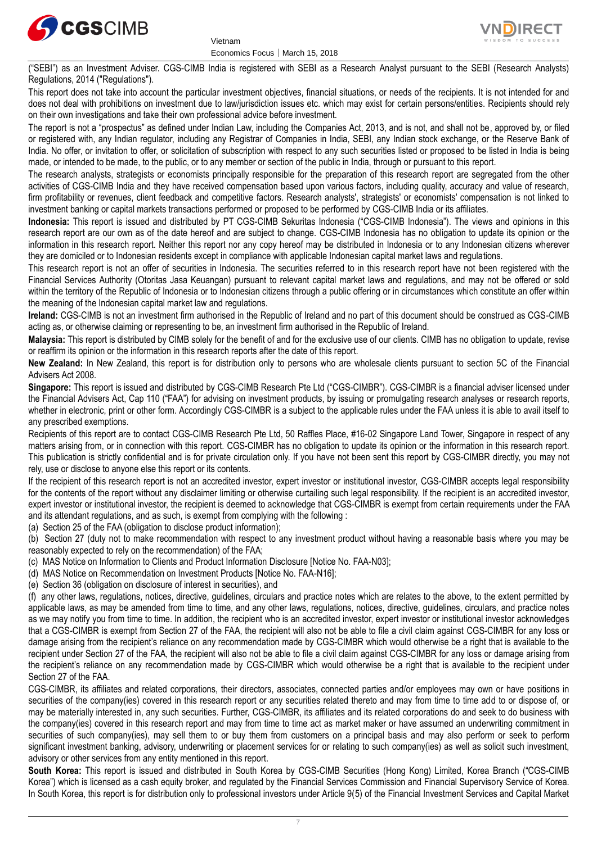





("SEBI") as an Investment Adviser. CGS-CIMB India is registered with SEBI as a Research Analyst pursuant to the SEBI (Research Analysts) Regulations, 2014 ("Regulations").

This report does not take into account the particular investment objectives, financial situations, or needs of the recipients. It is not intended for and does not deal with prohibitions on investment due to law/jurisdiction issues etc. which may exist for certain persons/entities. Recipients should rely on their own investigations and take their own professional advice before investment.

The report is not a "prospectus" as defined under Indian Law, including the Companies Act, 2013, and is not, and shall not be, approved by, or filed or registered with, any Indian regulator, including any Registrar of Companies in India, SEBI, any Indian stock exchange, or the Reserve Bank of India. No offer, or invitation to offer, or solicitation of subscription with respect to any such securities listed or proposed to be listed in India is being made, or intended to be made, to the public, or to any member or section of the public in India, through or pursuant to this report.

The research analysts, strategists or economists principally responsible for the preparation of this research report are segregated from the other activities of CGS-CIMB India and they have received compensation based upon various factors, including quality, accuracy and value of research, firm profitability or revenues, client feedback and competitive factors. Research analysts', strategists' or economists' compensation is not linked to investment banking or capital markets transactions performed or proposed to be performed by CGS-CIMB India or its affiliates.

**Indonesia:** This report is issued and distributed by PT CGS-CIMB Sekuritas Indonesia ("CGS-CIMB Indonesia"). The views and opinions in this research report are our own as of the date hereof and are subject to change. CGS-CIMB Indonesia has no obligation to update its opinion or the information in this research report. Neither this report nor any copy hereof may be distributed in Indonesia or to any Indonesian citizens wherever they are domiciled or to Indonesian residents except in compliance with applicable Indonesian capital market laws and regulations.

This research report is not an offer of securities in Indonesia. The securities referred to in this research report have not been registered with the Financial Services Authority (Otoritas Jasa Keuangan) pursuant to relevant capital market laws and regulations, and may not be offered or sold within the territory of the Republic of Indonesia or to Indonesian citizens through a public offering or in circumstances which constitute an offer within the meaning of the Indonesian capital market law and regulations.

**Ireland:** CGS-CIMB is not an investment firm authorised in the Republic of Ireland and no part of this document should be construed as CGS-CIMB acting as, or otherwise claiming or representing to be, an investment firm authorised in the Republic of Ireland.

**Malaysia:** This report is distributed by CIMB solely for the benefit of and for the exclusive use of our clients. CIMB has no obligation to update, revise or reaffirm its opinion or the information in this research reports after the date of this report.

**New Zealand:** In New Zealand, this report is for distribution only to persons who are wholesale clients pursuant to section 5C of the Financial Advisers Act 2008.

**Singapore:** This report is issued and distributed by CGS-CIMB Research Pte Ltd ("CGS-CIMBR"). CGS-CIMBR is a financial adviser licensed under the Financial Advisers Act, Cap 110 ("FAA") for advising on investment products, by issuing or promulgating research analyses or research reports, whether in electronic, print or other form. Accordingly CGS-CIMBR is a subject to the applicable rules under the FAA unless it is able to avail itself to any prescribed exemptions.

Recipients of this report are to contact CGS-CIMB Research Pte Ltd, 50 Raffles Place, #16-02 Singapore Land Tower, Singapore in respect of any matters arising from, or in connection with this report. CGS-CIMBR has no obligation to update its opinion or the information in this research report. This publication is strictly confidential and is for private circulation only. If you have not been sent this report by CGS-CIMBR directly, you may not rely, use or disclose to anyone else this report or its contents.

If the recipient of this research report is not an accredited investor, expert investor or institutional investor, CGS-CIMBR accepts legal responsibility for the contents of the report without any disclaimer limiting or otherwise curtailing such legal responsibility. If the recipient is an accredited investor, expert investor or institutional investor, the recipient is deemed to acknowledge that CGS-CIMBR is exempt from certain requirements under the FAA and its attendant regulations, and as such, is exempt from complying with the following :

(a) Section 25 of the FAA (obligation to disclose product information);

(b) Section 27 (duty not to make recommendation with respect to any investment product without having a reasonable basis where you may be reasonably expected to rely on the recommendation) of the FAA;

- (c) MAS Notice on Information to Clients and Product Information Disclosure [Notice No. FAA-N03];
- (d) MAS Notice on Recommendation on Investment Products [Notice No. FAA-N16];

(e) Section 36 (obligation on disclosure of interest in securities), and

(f) any other laws, regulations, notices, directive, guidelines, circulars and practice notes which are relates to the above, to the extent permitted by applicable laws, as may be amended from time to time, and any other laws, regulations, notices, directive, guidelines, circulars, and practice notes as we may notify you from time to time. In addition, the recipient who is an accredited investor, expert investor or institutional investor acknowledges that a CGS-CIMBR is exempt from Section 27 of the FAA, the recipient will also not be able to file a civil claim against CGS-CIMBR for any loss or damage arising from the recipient's reliance on any recommendation made by CGS-CIMBR which would otherwise be a right that is available to the recipient under Section 27 of the FAA, the recipient will also not be able to file a civil claim against CGS-CIMBR for any loss or damage arising from the recipient's reliance on any recommendation made by CGS-CIMBR which would otherwise be a right that is available to the recipient under Section 27 of the FAA.

CGS-CIMBR, its affiliates and related corporations, their directors, associates, connected parties and/or employees may own or have positions in securities of the company(ies) covered in this research report or any securities related thereto and may from time to time add to or dispose of, or may be materially interested in, any such securities. Further, CGS-CIMBR, its affiliates and its related corporations do and seek to do business with the company(ies) covered in this research report and may from time to time act as market maker or have assumed an underwriting commitment in securities of such company(ies), may sell them to or buy them from customers on a principal basis and may also perform or seek to perform significant investment banking, advisory, underwriting or placement services for or relating to such company(ies) as well as solicit such investment, advisory or other services from any entity mentioned in this report.

**South Korea:** This report is issued and distributed in South Korea by CGS-CIMB Securities (Hong Kong) Limited, Korea Branch ("CGS-CIMB Korea") which is licensed as a cash equity broker, and regulated by the Financial Services Commission and Financial Supervisory Service of Korea. In South Korea, this report is for distribution only to professional investors under Article 9(5) of the Financial Investment Services and Capital Market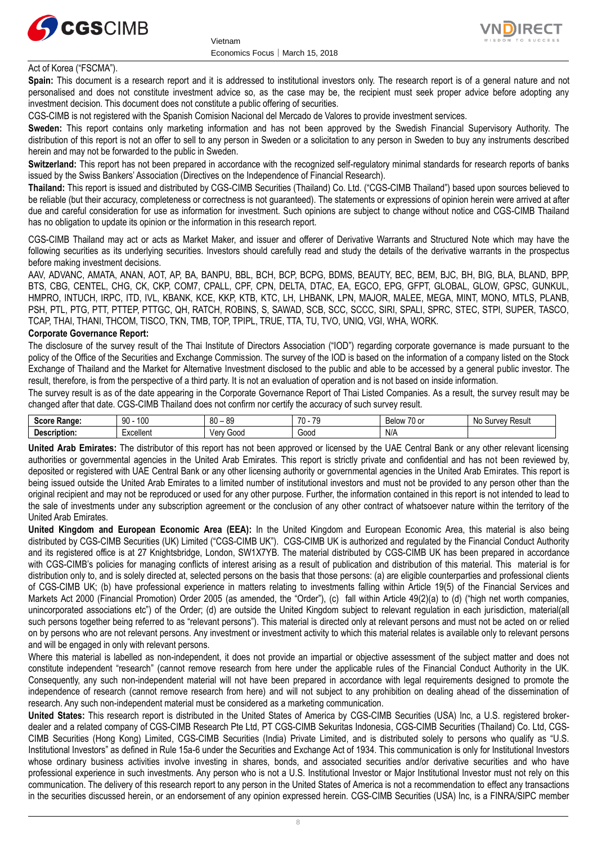



#### Act of Korea ("FSCMA").

**Spain:** This document is a research report and it is addressed to institutional investors only. The research report is of a general nature and not personalised and does not constitute investment advice so, as the case may be, the recipient must seek proper advice before adopting any investment decision. This document does not constitute a public offering of securities.

CGS-CIMB is not registered with the Spanish Comision Nacional del Mercado de Valores to provide investment services.

**Sweden:** This report contains only marketing information and has not been approved by the Swedish Financial Supervisory Authority. The distribution of this report is not an offer to sell to any person in Sweden or a solicitation to any person in Sweden to buy any instruments described herein and may not be forwarded to the public in Sweden.

**Switzerland:** This report has not been prepared in accordance with the recognized self-regulatory minimal standards for research reports of banks issued by the Swiss Bankers' Association (Directives on the Independence of Financial Research).

**Thailand:** This report is issued and distributed by CGS-CIMB Securities (Thailand) Co. Ltd. ("CGS-CIMB Thailand") based upon sources believed to be reliable (but their accuracy, completeness or correctness is not guaranteed). The statements or expressions of opinion herein were arrived at after due and careful consideration for use as information for investment. Such opinions are subject to change without notice and CGS-CIMB Thailand has no obligation to update its opinion or the information in this research report.

CGS-CIMB Thailand may act or acts as Market Maker, and issuer and offerer of Derivative Warrants and Structured Note which may have the following securities as its underlying securities. Investors should carefully read and study the details of the derivative warrants in the prospectus before making investment decisions.

AAV, ADVANC, AMATA, ANAN, AOT, AP, BA, BANPU, BBL, BCH, BCP, BCPG, BDMS, BEAUTY, BEC, BEM, BJC, BH, BIG, BLA, BLAND, BPP, BTS, CBG, CENTEL, CHG, CK, CKP, COM7, CPALL, CPF, CPN, DELTA, DTAC, EA, EGCO, EPG, GFPT, GLOBAL, GLOW, GPSC, GUNKUL, HMPRO, INTUCH, IRPC, ITD, IVL, KBANK, KCE, KKP, KTB, KTC, LH, LHBANK, LPN, MAJOR, MALEE, MEGA, MINT, MONO, MTLS, PLANB, PSH, PTL, PTG, PTT, PTTEP, PTTGC, QH, RATCH, ROBINS, S, SAWAD, SCB, SCC, SCCC, SIRI, SPALI, SPRC, STEC, STPI, SUPER, TASCO, TCAP, THAI, THANI, THCOM, TISCO, TKN, TMB, TOP, TPIPL, TRUE, TTA, TU, TVO, UNIQ, VGI, WHA, WORK.

#### **Corporate Governance Report:**

The disclosure of the survey result of the Thai Institute of Directors Association ("IOD") regarding corporate governance is made pursuant to the policy of the Office of the Securities and Exchange Commission. The survey of the IOD is based on the information of a company listed on the Stock Exchange of Thailand and the Market for Alternative Investment disclosed to the public and able to be accessed by a general public investor. The result, therefore, is from the perspective of a third party. It is not an evaluation of operation and is not based on inside information.

The survey result is as of the date appearing in the Corporate Governance Report of Thai Listed Companies. As a result, the survey result may be changed after that date. CGS-CIMB Thailand does not confirm nor certify the accuracy of such survey result.

| . <i>.</i><br><b>Range</b><br>ouu | 100<br>۵n<br>$\cdot$ | 80<br>୍ନଦ<br>ັບເ | 70<br>$\sim$<br>$\mathbf{u}$<br>ີ | $\overline{\phantom{a}}$<br>70 or<br><b>Below</b> | ≺esult<br>$\mathbf{m}$<br><b>NC</b><br>ow<br>vc |
|-----------------------------------|----------------------|------------------|-----------------------------------|---------------------------------------------------|-------------------------------------------------|
| scription.                        | <b>xcellent</b>      | Ven<br>000E`     | Goog                              | N/f                                               |                                                 |

**United Arab Emirates:** The distributor of this report has not been approved or licensed by the UAE Central Bank or any other relevant licensing authorities or governmental agencies in the United Arab Emirates. This report is strictly private and confidential and has not been reviewed by, deposited or registered with UAE Central Bank or any other licensing authority or governmental agencies in the United Arab Emirates. This report is being issued outside the United Arab Emirates to a limited number of institutional investors and must not be provided to any person other than the original recipient and may not be reproduced or used for any other purpose. Further, the information contained in this report is not intended to lead to the sale of investments under any subscription agreement or the conclusion of any other contract of whatsoever nature within the territory of the United Arab Emirates.

**United Kingdom and European Economic Area (EEA):** In the United Kingdom and European Economic Area, this material is also being distributed by CGS-CIMB Securities (UK) Limited ("CGS-CIMB UK"). CGS-CIMB UK is authorized and regulated by the Financial Conduct Authority and its registered office is at 27 Knightsbridge, London, SW1X7YB. The material distributed by CGS-CIMB UK has been prepared in accordance with CGS-CIMB's policies for managing conflicts of interest arising as a result of publication and distribution of this material. This material is for distribution only to, and is solely directed at, selected persons on the basis that those persons: (a) are eligible counterparties and professional clients of CGS-CIMB UK; (b) have professional experience in matters relating to investments falling within Article 19(5) of the Financial Services and Markets Act 2000 (Financial Promotion) Order 2005 (as amended, the "Order"), (c) fall within Article 49(2)(a) to (d) ("high net worth companies, unincorporated associations etc") of the Order; (d) are outside the United Kingdom subject to relevant regulation in each jurisdiction, material(all such persons together being referred to as "relevant persons"). This material is directed only at relevant persons and must not be acted on or relied on by persons who are not relevant persons. Any investment or investment activity to which this material relates is available only to relevant persons and will be engaged in only with relevant persons.

Where this material is labelled as non-independent, it does not provide an impartial or objective assessment of the subject matter and does not constitute independent "research" (cannot remove research from here under the applicable rules of the Financial Conduct Authority in the UK. Consequently, any such non-independent material will not have been prepared in accordance with legal requirements designed to promote the independence of research (cannot remove research from here) and will not subject to any prohibition on dealing ahead of the dissemination of research. Any such non-independent material must be considered as a marketing communication.

**United States:** This research report is distributed in the United States of America by CGS-CIMB Securities (USA) Inc, a U.S. registered brokerdealer and a related company of CGS-CIMB Research Pte Ltd, PT CGS-CIMB Sekuritas Indonesia, CGS-CIMB Securities (Thailand) Co. Ltd, CGS-CIMB Securities (Hong Kong) Limited, CGS-CIMB Securities (India) Private Limited, and is distributed solely to persons who qualify as "U.S. Institutional Investors" as defined in Rule 15a-6 under the Securities and Exchange Act of 1934. This communication is only for Institutional Investors whose ordinary business activities involve investing in shares, bonds, and associated securities and/or derivative securities and who have professional experience in such investments. Any person who is not a U.S. Institutional Investor or Major Institutional Investor must not rely on this communication. The delivery of this research report to any person in the United States of America is not a recommendation to effect any transactions in the securities discussed herein, or an endorsement of any opinion expressed herein. CGS-CIMB Securities (USA) Inc, is a FINRA/SIPC member